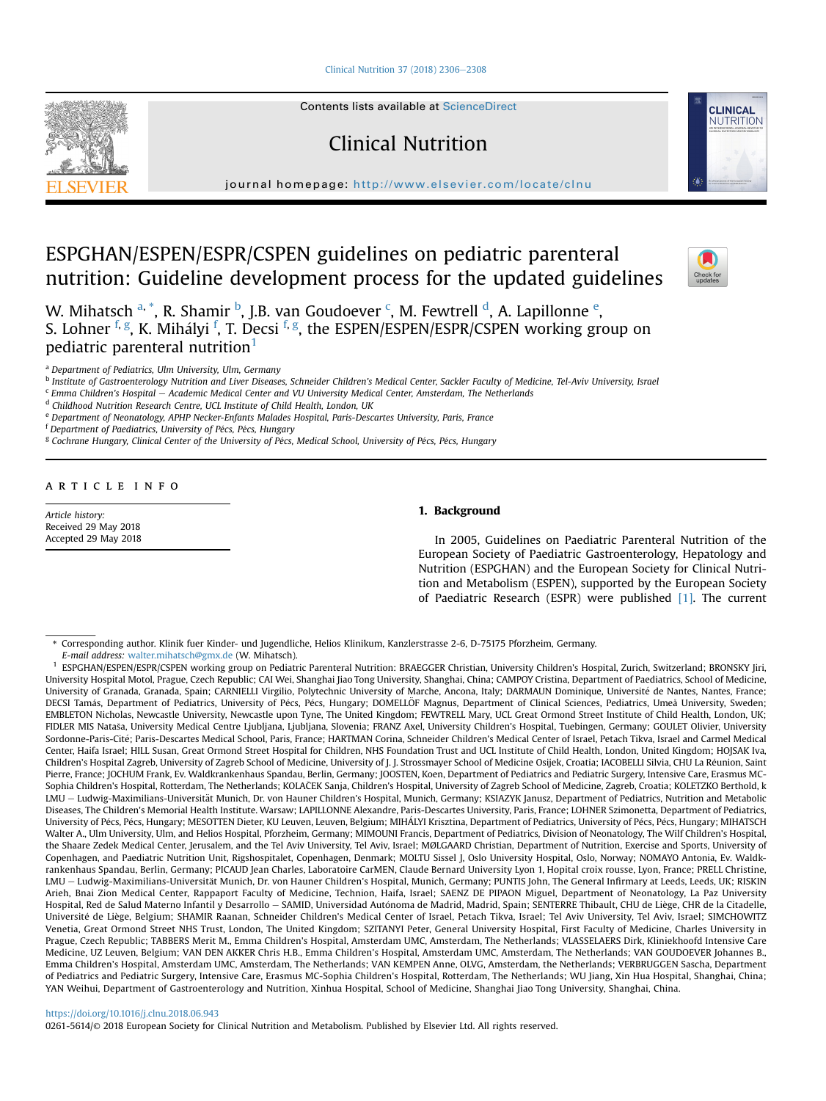[Clinical Nutrition 37 \(2018\) 2306](https://doi.org/10.1016/j.clnu.2018.06.943)-[2308](https://doi.org/10.1016/j.clnu.2018.06.943)



Contents lists available at ScienceDirect

# Clinical Nutrition



journal homepage: <http://www.elsevier.com/locate/clnu>

# ESPGHAN/ESPEN/ESPR/CSPEN guidelines on pediatric parenteral nutrition: Guideline development process for the updated guidelines



W. Mihatsch  $^{\mathrm{a},\mathrm{*}}$ , R. Shamir  $^{\mathrm{b}}$ , J.B. van Goudoever  $^{\mathrm{c}}$ , M. Fewtrell  $^{\mathrm{d}}$ , A. Lapillonne  $^{\mathrm{e}}$ , S. Lohner <sup>f, g</sup>, K. Mihályi <sup>f</sup>, T. Decsi <sup>f, g</sup>, the ESPEN/ESPEN/ESPR/CSPEN working group on pediatric parenteral nutrition<sup>1</sup>

<sup>a</sup> Department of Pediatrics, Ulm University, Ulm, Germany

**b Institute of Gastroenterology Nutrition and Liver Diseases, Schneider Children's Medical Center, Sackler Faculty of Medicine, Tel-Aviv University, Israel** 

 $c$  Emma Children's Hospital  $-$  Academic Medical Center and VU University Medical Center, Amsterdam, The Netherlands

<sup>d</sup> Childhood Nutrition Research Centre, UCL Institute of Child Health, London, UK

<sup>e</sup> Department of Neonatology, APHP Necker-Enfants Malades Hospital, Paris-Descartes University, Paris, France

f Department of Paediatrics, University of Pécs, Pécs, Hungary

<sup>g</sup> Cochrane Hungary, Clinical Center of the University of Pécs, Medical School, University of Pécs, Pécs, Hungary

### article info

Article history: Received 29 May 2018 Accepted 29 May 2018

## 1. Background

In 2005, Guidelines on Paediatric Parenteral Nutrition of the European Society of Paediatric Gastroenterology, Hepatology and Nutrition (ESPGHAN) and the European Society for Clinical Nutrition and Metabolism (ESPEN), supported by the European Society of Paediatric Research (ESPR) were published [\[1\].](#page-2-0) The current

E-mail address: [walter.mihatsch@gmx.de](mailto:walter.mihatsch@gmx.de) (W. Mihatsch).

<sup>1</sup> ESPGHAN/ESPEN/ESPR/CSPEN working group on Pediatric Parenteral Nutrition: BRAEGGER Christian, University Children's Hospital, Zurich, Switzerland; BRONSKY Jiri, University Hospital Motol, Prague, Czech Republic; CAI Wei, Shanghai Jiao Tong University, Shanghai, China; CAMPOY Cristina, Department of Paediatrics, School of Medicine, University of Granada, Granada, Spain; CARNIELLI Virgilio, Polytechnic University of Marche, Ancona, Italy; DARMAUN Dominique, Universite de Nantes, Nantes, France; DECSI Tamás, Department of Pediatrics, University of Pécs, Pécs, Hungary; DOMELLÖF Magnus, Department of Clinical Sciences, Pediatrics, Umeå University, Sweden; EMBLETON Nicholas, Newcastle University, Newcastle upon Tyne, The United Kingdom; FEWTRELL Mary, UCL Great Ormond Street Institute of Child Health, London, UK; FIDLER MIS Natasa, University Medical Centre Ljubljana, Ljubljana, Slovenia; FRANZ Axel, University Children's Hospital, Tuebingen, Germany; GOULET Olivier, University Sordonne-Paris-Cité: Paris-Descartes Medical School, Paris, France: HARTMAN Corina, Schneider Children's Medical Center of Israel, Petach Tikva, Israel and Carmel Medical Center, Haifa Israel; HILL Susan, Great Ormond Street Hospital for Children, NHS Foundation Trust and UCL Institute of Child Health, London, United Kingdom; HOJSAK Iva, Children's Hospital Zagreb, University of Zagreb School of Medicine, University of J. J. Strossmayer School of Medicine Osijek, Croatia; IACOBELLI Silvia, CHU La Reunion, Saint Pierre, France; JOCHUM Frank, Ev. Waldkrankenhaus Spandau, Berlin, Germany; JOOSTEN, Koen, Department of Pediatrics and Pediatric Surgery, Intensive Care, Erasmus MC-Sophia Children's Hospital, Rotterdam, The Netherlands; KOLAČEK Sanja, Children's Hospital, University of Zagreb School of Medicine, Zagreb, Croatia; KOLETZKO Berthold, k LMU – Ludwig-Maximilians-Universität Munich, Dr. von Hauner Children's Hospital, Munich, Germany; KSIAZYK Janusz, Department of Pediatrics, Nutrition and Metabolic Diseases, The Children's Memorial Health Institute. Warsaw; LAPILLONNE Alexandre, Paris-Descartes University, Paris, France; LOHNER Szimonetta, Department of Pediatrics, University of Pécs, Pécs, Hungary; MESOTTEN Dieter, KU Leuven, Leuven, Belgium; MIHÁLYI Krisztina, Department of Pediatrics, University of Pécs, Pécs, Hungary; MIHATSCH Walter A., Ulm University, Ulm, and Helios Hospital, Pforzheim, Germany; MIMOUNI Francis, Department of Pediatrics, Division of Neonatology, The Wilf Children's Hospital, the Shaare Zedek Medical Center, Jerusalem, and the Tel Aviv University, Tel Aviv, Israel; MØLGAARD Christian, Department of Nutrition, Exercise and Sports, University of Copenhagen, and Paediatric Nutrition Unit, Rigshospitalet, Copenhagen, Denmark; MOLTU Sissel J, Oslo University Hospital, Oslo, Norway; NOMAYO Antonia, Ev. Waldkrankenhaus Spandau, Berlin, Germany; PICAUD Jean Charles, Laboratoire CarMEN, Claude Bernard University Lyon 1, Hopital croix rousse, Lyon, France; PRELL Christine, LMU – Ludwig-Maximilians-Universität Munich, Dr. von Hauner Children's Hospital, Munich, Germany; PUNTIS John, The General Infirmary at Leeds, Leeds, UK; RISKIN Arieh, Bnai Zion Medical Center, Rappaport Faculty of Medicine, Technion, Haifa, Israel; SAENZ DE PIPAON Miguel, Department of Neonatology, La Paz University Hospital, Red de Salud Materno Infantil y Desarrollo - SAMID, Universidad Autónoma de Madrid, Madrid, Spain; SENTERRE Thibault, CHU de Liège, CHR de la Citadelle, Université de Liège, Belgium; SHAMIR Raanan, Schneider Children's Medical Center of Israel, Petach Tikva, Israel; Tel Aviv University, Tel Aviv, Israel; SIMCHOWITZ Venetia, Great Ormond Street NHS Trust, London, The United Kingdom; SZITANYI Peter, General University Hospital, First Faculty of Medicine, Charles University in Prague, Czech Republic; TABBERS Merit M., Emma Children's Hospital, Amsterdam UMC, Amsterdam, The Netherlands; VLASSELAERS Dirk, Kliniekhoofd Intensive Care Medicine, UZ Leuven, Belgium; VAN DEN AKKER Chris H.B., Emma Children's Hospital, Amsterdam UMC, Amsterdam, The Netherlands; VAN GOUDOEVER Johannes B., Emma Children's Hospital, Amsterdam UMC, Amsterdam, The Netherlands; VAN KEMPEN Anne, OLVG, Amsterdam, the Netherlands; VERBRUGGEN Sascha, Department of Pediatrics and Pediatric Surgery, Intensive Care, Erasmus MC-Sophia Children's Hospital, Rotterdam, The Netherlands; WU Jiang, Xin Hua Hospital, Shanghai, China; YAN Weihui, Department of Gastroenterology and Nutrition, Xinhua Hospital, School of Medicine, Shanghai Jiao Tong University, Shanghai, China.

#### <https://doi.org/10.1016/j.clnu.2018.06.943>

0261-5614/© 2018 European Society for Clinical Nutrition and Metabolism. Published by Elsevier Ltd. All rights reserved.

<sup>\*</sup> Corresponding author. Klinik fuer Kinder- und Jugendliche, Helios Klinikum, Kanzlerstrasse 2-6, D-75175 Pforzheim, Germany.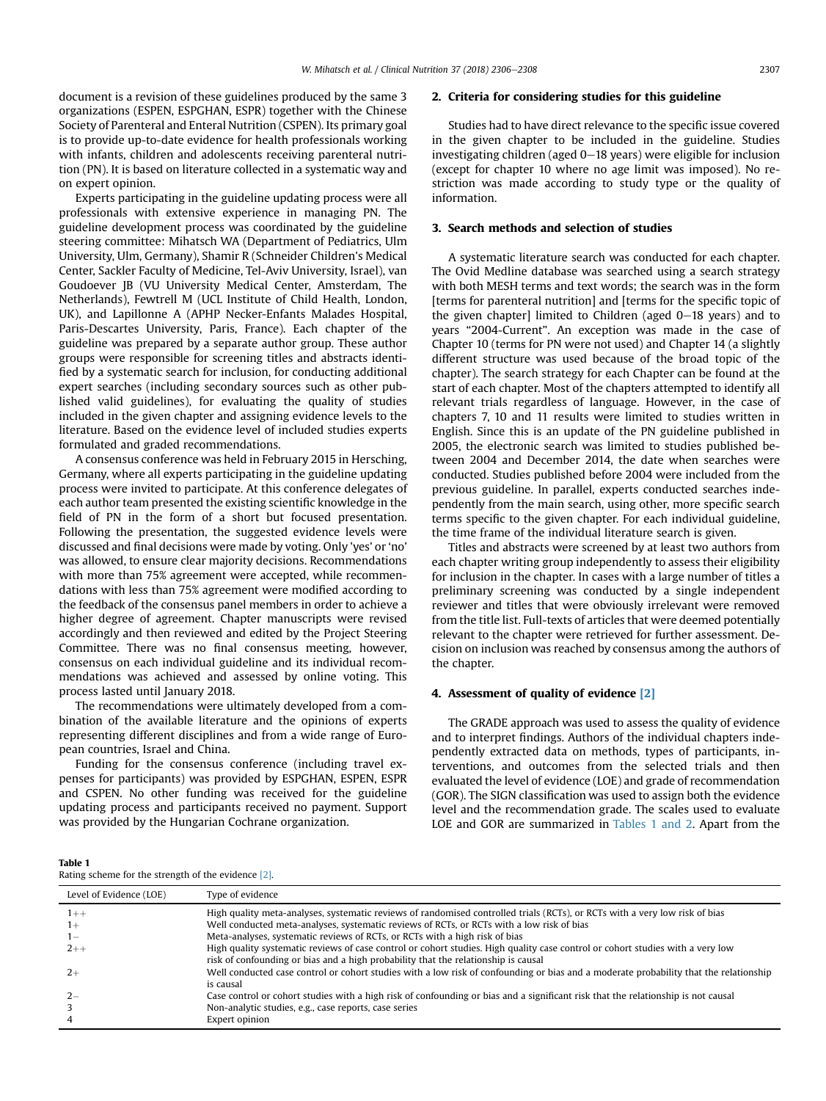document is a revision of these guidelines produced by the same 3 organizations (ESPEN, ESPGHAN, ESPR) together with the Chinese Society of Parenteral and Enteral Nutrition (CSPEN). Its primary goal is to provide up-to-date evidence for health professionals working with infants, children and adolescents receiving parenteral nutrition (PN). It is based on literature collected in a systematic way and on expert opinion.

Experts participating in the guideline updating process were all professionals with extensive experience in managing PN. The guideline development process was coordinated by the guideline steering committee: Mihatsch WA (Department of Pediatrics, Ulm University, Ulm, Germany), Shamir R (Schneider Children's Medical Center, Sackler Faculty of Medicine, Tel-Aviv University, Israel), van Goudoever JB (VU University Medical Center, Amsterdam, The Netherlands), Fewtrell M (UCL Institute of Child Health, London, UK), and Lapillonne A (APHP Necker-Enfants Malades Hospital, Paris-Descartes University, Paris, France). Each chapter of the guideline was prepared by a separate author group. These author groups were responsible for screening titles and abstracts identified by a systematic search for inclusion, for conducting additional expert searches (including secondary sources such as other published valid guidelines), for evaluating the quality of studies included in the given chapter and assigning evidence levels to the literature. Based on the evidence level of included studies experts formulated and graded recommendations.

A consensus conference was held in February 2015 in Hersching, Germany, where all experts participating in the guideline updating process were invited to participate. At this conference delegates of each author team presented the existing scientific knowledge in the field of PN in the form of a short but focused presentation. Following the presentation, the suggested evidence levels were discussed and final decisions were made by voting. Only 'yes' or 'no' was allowed, to ensure clear majority decisions. Recommendations with more than 75% agreement were accepted, while recommendations with less than 75% agreement were modified according to the feedback of the consensus panel members in order to achieve a higher degree of agreement. Chapter manuscripts were revised accordingly and then reviewed and edited by the Project Steering Committee. There was no final consensus meeting, however, consensus on each individual guideline and its individual recommendations was achieved and assessed by online voting. This process lasted until January 2018.

The recommendations were ultimately developed from a combination of the available literature and the opinions of experts representing different disciplines and from a wide range of European countries, Israel and China.

Funding for the consensus conference (including travel expenses for participants) was provided by ESPGHAN, ESPEN, ESPR and CSPEN. No other funding was received for the guideline updating process and participants received no payment. Support was provided by the Hungarian Cochrane organization.

### 2. Criteria for considering studies for this guideline

Studies had to have direct relevance to the specific issue covered in the given chapter to be included in the guideline. Studies investigating children (aged  $0-18$  years) were eligible for inclusion (except for chapter 10 where no age limit was imposed). No restriction was made according to study type or the quality of information.

### 3. Search methods and selection of studies

A systematic literature search was conducted for each chapter. The Ovid Medline database was searched using a search strategy with both MESH terms and text words; the search was in the form [terms for parenteral nutrition] and [terms for the specific topic of the given chapter] limited to Children (aged  $0-18$  years) and to years "2004-Current". An exception was made in the case of Chapter 10 (terms for PN were not used) and Chapter 14 (a slightly different structure was used because of the broad topic of the chapter). The search strategy for each Chapter can be found at the start of each chapter. Most of the chapters attempted to identify all relevant trials regardless of language. However, in the case of chapters 7, 10 and 11 results were limited to studies written in English. Since this is an update of the PN guideline published in 2005, the electronic search was limited to studies published between 2004 and December 2014, the date when searches were conducted. Studies published before 2004 were included from the previous guideline. In parallel, experts conducted searches independently from the main search, using other, more specific search terms specific to the given chapter. For each individual guideline, the time frame of the individual literature search is given.

Titles and abstracts were screened by at least two authors from each chapter writing group independently to assess their eligibility for inclusion in the chapter. In cases with a large number of titles a preliminary screening was conducted by a single independent reviewer and titles that were obviously irrelevant were removed from the title list. Full-texts of articles that were deemed potentially relevant to the chapter were retrieved for further assessment. Decision on inclusion was reached by consensus among the authors of the chapter.

## 4. Assessment of quality of evidence [\[2\]](#page-2-0)

The GRADE approach was used to assess the quality of evidence and to interpret findings. Authors of the individual chapters independently extracted data on methods, types of participants, interventions, and outcomes from the selected trials and then evaluated the level of evidence (LOE) and grade of recommendation (GOR). The SIGN classification was used to assign both the evidence level and the recommendation grade. The scales used to evaluate LOE and GOR are summarized in Tables 1 and 2. Apart from the

Table 1 Rating scheme for the strength of the evidence [\[2\].](#page-2-0)

| Level of Evidence (LOE) | Type of evidence                                                                                                                      |
|-------------------------|---------------------------------------------------------------------------------------------------------------------------------------|
| $1++$                   | High quality meta-analyses, systematic reviews of randomised controlled trials (RCTs), or RCTs with a very low risk of bias           |
| $1+$                    | Well conducted meta-analyses, systematic reviews of RCTs, or RCTs with a low risk of bias                                             |
| $1 -$                   | Meta-analyses, systematic reviews of RCTs, or RCTs with a high risk of bias                                                           |
| $2 + +$                 | High quality systematic reviews of case control or cohort studies. High quality case control or cohort studies with a very low        |
|                         | risk of confounding or bias and a high probability that the relationship is causal                                                    |
| $2+$                    | Well conducted case control or cohort studies with a low risk of confounding or bias and a moderate probability that the relationship |
|                         | is causal                                                                                                                             |
| $2 -$                   | Case control or cohort studies with a high risk of confounding or bias and a significant risk that the relationship is not causal     |
|                         | Non-analytic studies, e.g., case reports, case series                                                                                 |
|                         | Expert opinion                                                                                                                        |
|                         |                                                                                                                                       |